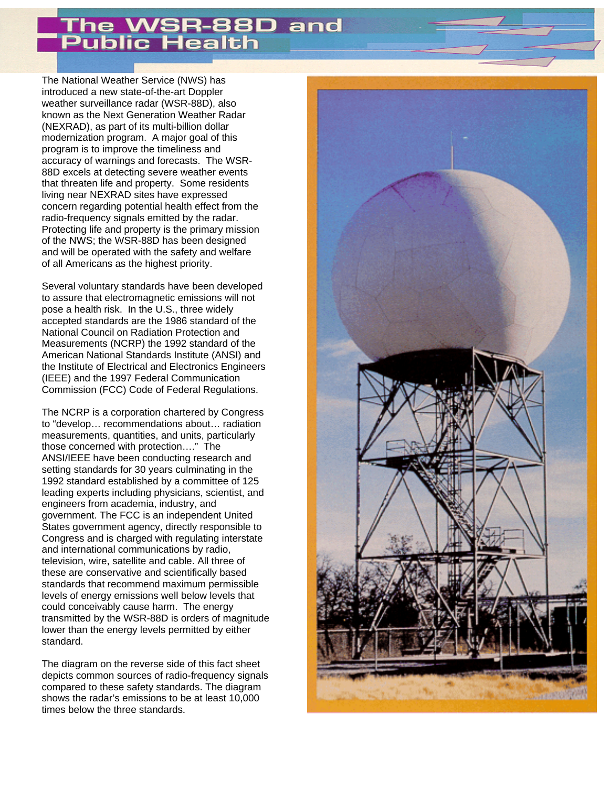## SR-88D and ublic Health

The National Weather Service (NWS) has introduced a new state-of-the-art Doppler weather surveillance radar (WSR-88D), also known as the Next Generation Weather Radar (NEXRAD), as part of its multi-billion dollar modernization program. A major goal of this program is to improve the timeliness and accuracy of warnings and forecasts. The WSR-88D excels at detecting severe weather events that threaten life and property. Some residents living near NEXRAD sites have expressed concern regarding potential health effect from the radio-frequency signals emitted by the radar. Protecting life and property is the primary mission of the NWS; the WSR-88D has been designed and will be operated with the safety and welfare of all Americans as the highest priority.

Several voluntary standards have been developed to assure that electromagnetic emissions will not pose a health risk. In the U.S., three widely accepted standards are the 1986 standard of the National Council on Radiation Protection and Measurements (NCRP) the 1992 standard of the American National Standards Institute (ANSI) and the Institute of Electrical and Electronics Engineers (IEEE) and the 1997 Federal Communication Commission (FCC) Code of Federal Regulations.

The NCRP is a corporation chartered by Congress to "develop… recommendations about… radiation measurements, quantities, and units, particularly those concerned with protection…." The ANSI/IEEE have been conducting research and setting standards for 30 years culminating in the 1992 standard established by a committee of 125 leading experts including physicians, scientist, and engineers from academia, industry, and government. The FCC is an independent United States government agency, directly responsible to Congress and is charged with regulating interstate and international communications by radio, television, wire, satellite and cable. All three of these are conservative and scientifically based standards that recommend maximum permissible levels of energy emissions well below levels that could conceivably cause harm. The energy transmitted by the WSR-88D is orders of magnitude lower than the energy levels permitted by either standard.

The diagram on the reverse side of this fact sheet depicts common sources of radio-frequency signals compared to these safety standards. The diagram shows the radar's emissions to be at least 10,000 times below the three standards.